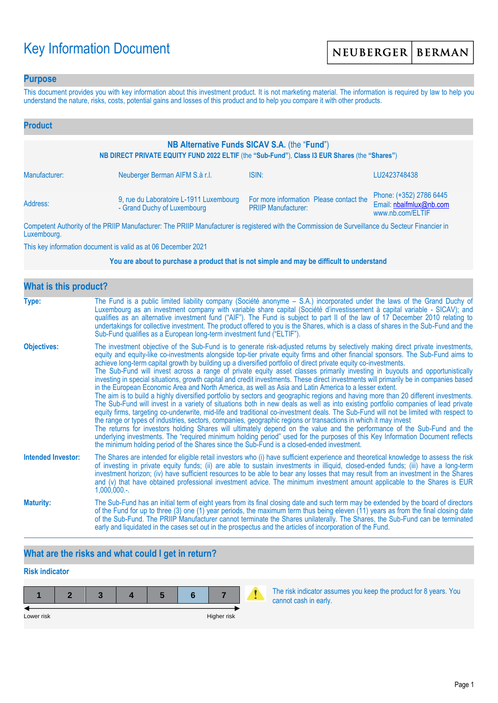# Key Information Document

## **Purpose**

This document provides you with key information about this investment product. It is not marketing material. The information is required by law to help you understand the nature, risks, costs, potential gains and losses of this product and to help you compare it with other products.

| <b>Product</b>                                                                                                                                |                                                                        |                                                                       |                                                                        |  |  |
|-----------------------------------------------------------------------------------------------------------------------------------------------|------------------------------------------------------------------------|-----------------------------------------------------------------------|------------------------------------------------------------------------|--|--|
| NB Alternative Funds SICAV S.A. (the "Fund")<br>NB DIRECT PRIVATE EQUITY FUND 2022 ELTIF (the "Sub-Fund"), Class I3 EUR Shares (the "Shares") |                                                                        |                                                                       |                                                                        |  |  |
| Manufacturer:                                                                                                                                 | Neuberger Berman AIFM S.à r.l.                                         | ISIN:                                                                 | LU2423748438                                                           |  |  |
| Address:                                                                                                                                      | 9, rue du Laboratoire L-1911 Luxembourg<br>- Grand Duchy of Luxembourg | For more information Please contact the<br><b>PRIIP Manufacturer:</b> | Phone: (+352) 2786 6445<br>Email: nbaifmlux@nb.com<br>www.nb.com/ELTIF |  |  |

Competent Authority of the PRIIP Manufacturer: The PRIIP Manufacturer is registered with the Commission de Surveillance du Secteur Financier in Luxembourg.

This key information document is valid as at 06 December 2021

#### **You are about to purchase a product that is not simple and may be difficult to understand**

| <b>What is this product?</b> |                                                                                                                                                                                                                                                                                                                                                                                                                                                                                                                                                                                                                                                                                                                                                                                                                                                                                                                                                                                                                                                                                                                                                                                                                                                                                                                                                                                                                                                                                                                                                                                                                                                                               |
|------------------------------|-------------------------------------------------------------------------------------------------------------------------------------------------------------------------------------------------------------------------------------------------------------------------------------------------------------------------------------------------------------------------------------------------------------------------------------------------------------------------------------------------------------------------------------------------------------------------------------------------------------------------------------------------------------------------------------------------------------------------------------------------------------------------------------------------------------------------------------------------------------------------------------------------------------------------------------------------------------------------------------------------------------------------------------------------------------------------------------------------------------------------------------------------------------------------------------------------------------------------------------------------------------------------------------------------------------------------------------------------------------------------------------------------------------------------------------------------------------------------------------------------------------------------------------------------------------------------------------------------------------------------------------------------------------------------------|
| Type:                        | The Fund is a public limited liability company (Société anonyme – S.A.) incorporated under the laws of the Grand Duchy of<br>Luxembourg as an investment company with variable share capital (Société d'investissement à capital variable - SICAV); and<br>qualifies as an alternative investment fund ("AIF"). The Fund is subject to part II of the law of 17 December 2010 relating to<br>undertakings for collective investment. The product offered to you is the Shares, which is a class of shares in the Sub-Fund and the<br>Sub-Fund qualifies as a European long-term investment fund ("ELTIF").                                                                                                                                                                                                                                                                                                                                                                                                                                                                                                                                                                                                                                                                                                                                                                                                                                                                                                                                                                                                                                                                    |
| <b>Objectives:</b>           | The investment objective of the Sub-Fund is to generate risk-adjusted returns by selectively making direct private investments,<br>equity and equity-like co-investments alongside top-tier private equity firms and other financial sponsors. The Sub-Fund aims to<br>achieve long-term capital growth by building up a diversified portfolio of direct private equity co-investments.<br>The Sub-Fund will invest across a range of private equity asset classes primarily investing in buyouts and opportunistically<br>investing in special situations, growth capital and credit investments. These direct investments will primarily be in companies based<br>in the European Economic Area and North America, as well as Asia and Latin America to a lesser extent.<br>The aim is to build a highly diversified portfolio by sectors and geographic regions and having more than 20 different investments.<br>The Sub-Fund will invest in a variety of situations both in new deals as well as into existing portfolio companies of lead private<br>equity firms, targeting co-underwrite, mid-life and traditional co-investment deals. The Sub-Fund will not be limited with respect to<br>the range or types of industries, sectors, companies, geographic regions or transactions in which it may invest<br>The returns for investors holding Shares will ultimately depend on the value and the performance of the Sub-Fund and the<br>underlying investments. The "required minimum holding period" used for the purposes of this Key Information Document reflects<br>the minimum holding period of the Shares since the Sub-Fund is a closed-ended investment. |
| <b>Intended Investor:</b>    | The Shares are intended for eligible retail investors who (i) have sufficient experience and theoretical knowledge to assess the risk<br>of investing in private equity funds; (ii) are able to sustain investments in illiquid, closed-ended funds; (iii) have a long-term<br>investment horizon; (iv) have sufficient resources to be able to bear any losses that may result from an investment in the Shares<br>and (v) that have obtained professional investment advice. The minimum investment amount applicable to the Shares is EUR<br>$1,000,000.$ -.                                                                                                                                                                                                                                                                                                                                                                                                                                                                                                                                                                                                                                                                                                                                                                                                                                                                                                                                                                                                                                                                                                               |
| <b>Maturity:</b>             | The Sub-Fund has an initial term of eight years from its final closing date and such term may be extended by the board of directors<br>of the Fund for up to three (3) one (1) year periods, the maximum term thus being eleven (11) years as from the final closing date<br>of the Sub-Fund. The PRIIP Manufacturer cannot terminate the Shares unilaterally. The Shares, the Sub-Fund can be terminated<br>early and liquidated in the cases set out in the prospectus and the articles of incorporation of the Fund.                                                                                                                                                                                                                                                                                                                                                                                                                                                                                                                                                                                                                                                                                                                                                                                                                                                                                                                                                                                                                                                                                                                                                       |

## **What are the risks and what could I get in return?**

## **Risk indicator**

| Lower risk |  |  | Higher risk |  |
|------------|--|--|-------------|--|

The risk indicator assumes you keep the product for 8 years. You cannot cash in early.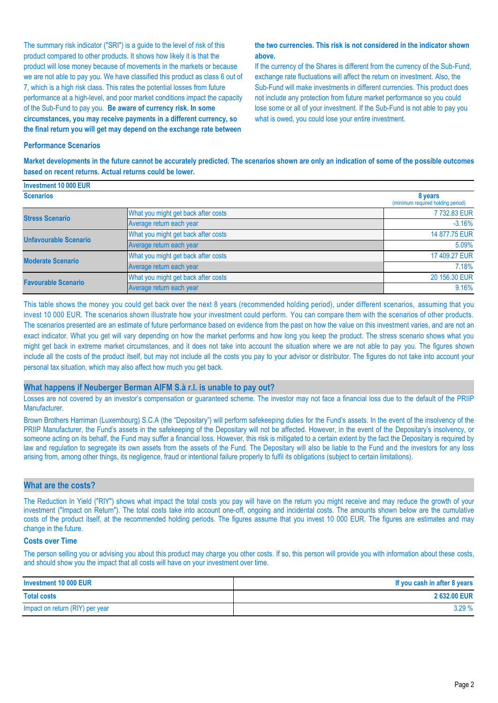The summary risk indicator ("SRI") is a guide to the level of risk of this product compared to other products. It shows how likely it is that the product will lose money because of movements in the markets or because we are not able to pay you. We have classified this product as class 6 out of 7, which is a high risk class. This rates the potential losses from future performance at a high-level, and poor market conditions impact the capacity of the Sub-Fund to pay you. **Be aware of currency risk. In some circumstances, you may receive payments in a different currency, so the final return you will get may depend on the exchange rate between** 

#### **the two currencies. This risk is not considered in the indicator shown above.**

If the currency of the Shares is different from the currency of the Sub-Fund, exchange rate fluctuations will affect the return on investment. Also, the Sub-Fund will make investments in different currencies. This product does not include any protection from future market performance so you could lose some or all of your investment. If the Sub-Fund is not able to pay you what is owed, you could lose your entire investment.

#### **Performance Scenarios**

**Market developments in the future cannot be accurately predicted. The scenarios shown are only an indication of some of the possible outcomes based on recent returns. Actual returns could be lower.**

| Investment 10 000 EUR        |                                              |               |
|------------------------------|----------------------------------------------|---------------|
| <b>Scenarios</b>             | 8 years<br>(minimum required holding period) |               |
| <b>Stress Scenario</b>       | What you might get back after costs          | 7732.83 EUR   |
|                              | Average return each year                     | $-3.16%$      |
| <b>Unfavourable Scenario</b> | What you might get back after costs          | 14 877.75 EUR |
|                              | Average return each year                     | 5.09%         |
| <b>Moderate Scenario</b>     | What you might get back after costs          | 17 409.27 EUR |
|                              | Average return each year                     | 7.18%         |
| <b>Favourable Scenario</b>   | What you might get back after costs          | 20 156,30 EUR |
|                              | Average return each year                     | 9.16%         |

This table shows the money you could get back over the next 8 years (recommended holding period), under different scenarios, assuming that you invest 10 000 EUR. The scenarios shown illustrate how your investment could perform. You can compare them with the scenarios of other products. The scenarios presented are an estimate of future performance based on evidence from the past on how the value on this investment varies, and are not an exact indicator. What you get will vary depending on how the market performs and how long you keep the product. The stress scenario shows what you might get back in extreme market circumstances, and it does not take into account the situation where we are not able to pay you. The figures shown include all the costs of the product itself, but may not include all the costs you pay to your advisor or distributor. The figures do not take into account your personal tax situation, which may also affect how much you get back.

#### **What happens if Neuberger Berman AIFM S.à r.l. is unable to pay out?**

Losses are not covered by an investor's compensation or guaranteed scheme. The investor may not face a financial loss due to the default of the PRIIP Manufacturer.

Brown Brothers Harriman (Luxembourg) S.C.A (the "Depositary") will perform safekeeping duties for the Fund's assets. In the event of the insolvency of the PRIIP Manufacturer, the Fund's assets in the safekeeping of the Depositary will not be affected. However, in the event of the Depositary's insolvency, or someone acting on its behalf, the Fund may suffer a financial loss. However, this risk is mitigated to a certain extent by the fact the Depositary is required by law and regulation to segregate its own assets from the assets of the Fund. The Depositary will also be liable to the Fund and the investors for any loss arising from, among other things, its negligence, fraud or intentional failure properly to fulfil its obligations (subject to certain limitations).

#### **What are the costs?**

The Reduction In Yield ("RIY") shows what impact the total costs you pay will have on the return you might receive and may reduce the growth of your investment ("Impact on Return"). The total costs take into account one-off, ongoing and incidental costs. The amounts shown below are the cumulative costs of the product itself, at the recommended holding periods. The figures assume that you invest 10 000 EUR. The figures are estimates and may change in the future.

#### **Costs over Time**

The person selling you or advising you about this product may charge you other costs. If so, this person will provide you with information about these costs, and should show you the impact that all costs will have on your investment over time.

| Investment 10 000 EUR           | If you cash in after 8 years |
|---------------------------------|------------------------------|
| <b>Total costs</b>              | 2 632.00 EUR                 |
| Impact on return (RIY) per year | 3.29%                        |